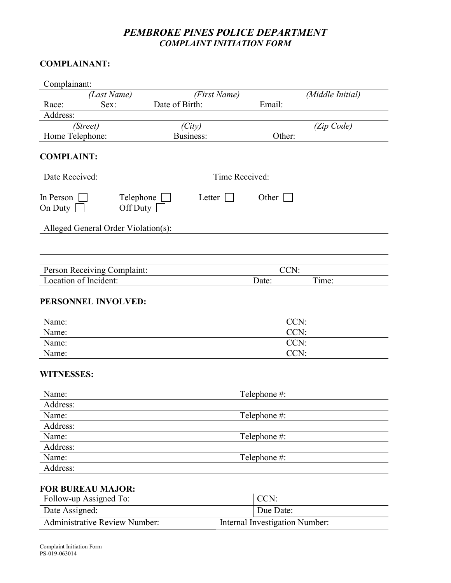# PEMBROKE PINES POLICE DEPARTMENT COMPLAINT INITIATION FORM

## COMPLAINANT:

| Complainant:                        |                       |                |                                |              |                  |  |
|-------------------------------------|-----------------------|----------------|--------------------------------|--------------|------------------|--|
| (Last Name)                         |                       |                | (First Name)                   |              | (Middle Initial) |  |
| Race:                               | Sex:                  | Date of Birth: |                                | Email:       |                  |  |
| Address:                            |                       |                |                                |              |                  |  |
| (Street)                            |                       | (City)         |                                |              | (Zip Code)       |  |
| Home Telephone:                     |                       | Business:      |                                | Other:       |                  |  |
| <b>COMPLAINT:</b>                   |                       |                |                                |              |                  |  |
| Date Received:                      |                       |                | Time Received:                 |              |                  |  |
| In Person<br>On Duty                | Telephone<br>Off Duty | Letter         |                                | Other        |                  |  |
| Alleged General Order Violation(s): |                       |                |                                |              |                  |  |
|                                     |                       |                |                                |              |                  |  |
| Person Receiving Complaint:         |                       |                |                                | CCN:         |                  |  |
| Location of Incident:               |                       |                |                                | Date:        | Time:            |  |
| PERSONNEL INVOLVED:<br>Name:        |                       |                |                                |              | CCN:             |  |
| Name:                               |                       |                | CCN:                           |              |                  |  |
| Name:                               |                       |                |                                |              | CCN:             |  |
| Name:                               |                       |                | CCN:                           |              |                  |  |
| <b>WITNESSES:</b>                   |                       |                |                                |              |                  |  |
| Name:                               |                       |                |                                | Telephone #: |                  |  |
| Address:                            |                       |                |                                |              |                  |  |
| Name:                               |                       |                |                                | Telephone #: |                  |  |
| Address:                            |                       |                |                                |              |                  |  |
| Name:                               |                       |                |                                | Telephone #: |                  |  |
| Address:                            |                       |                |                                |              |                  |  |
| Name:                               |                       |                |                                | Telephone #: |                  |  |
| Address:                            |                       |                |                                |              |                  |  |
| <b>FOR BUREAU MAJOR:</b>            |                       |                |                                |              |                  |  |
| Follow-up Assigned To:              |                       |                |                                | CCN:         |                  |  |
| Date Assigned:                      |                       |                |                                | Due Date:    |                  |  |
| Administrative Review Number:       |                       |                | Internal Investigation Number: |              |                  |  |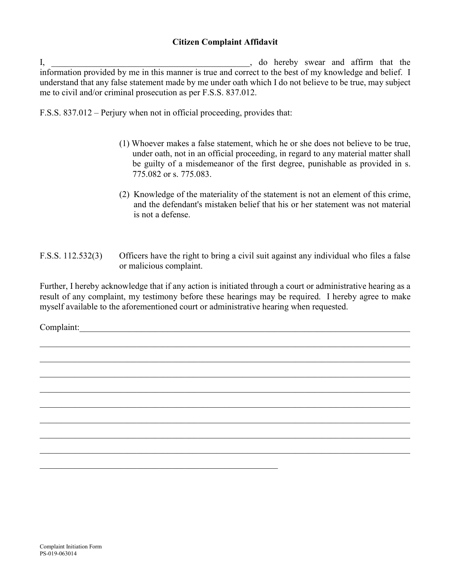#### Citizen Complaint Affidavit

I, and in the same of the swear and affirm that the state of the swear and affirm that the state of the state of the state of the state of the state of the state of the state of the state of the state of the state of the s information provided by me in this manner is true and correct to the best of my knowledge and belief. I understand that any false statement made by me under oath which I do not believe to be true, may subject me to civil and/or criminal prosecution as per F.S.S. 837.012.

F.S.S. 837.012 – Perjury when not in official proceeding, provides that:

- (1) Whoever makes a false statement, which he or she does not believe to be true, under oath, not in an official proceeding, in regard to any material matter shall be guilty of a misdemeanor of the first degree, punishable as provided in s. 775.082 or s. 775.083.
- (2) Knowledge of the materiality of the statement is not an element of this crime, and the defendant's mistaken belief that his or her statement was not material is not a defense.
- F.S.S. 112.532(3) Officers have the right to bring a civil suit against any individual who files a false or malicious complaint.

Further, I hereby acknowledge that if any action is initiated through a court or administrative hearing as a result of any complaint, my testimony before these hearings may be required. I hereby agree to make myself available to the aforementioned court or administrative hearing when requested.

 $\mathcal{L}_\mathcal{L} = \mathcal{L}_\mathcal{L} = \mathcal{L}_\mathcal{L} = \mathcal{L}_\mathcal{L} = \mathcal{L}_\mathcal{L} = \mathcal{L}_\mathcal{L} = \mathcal{L}_\mathcal{L} = \mathcal{L}_\mathcal{L} = \mathcal{L}_\mathcal{L} = \mathcal{L}_\mathcal{L} = \mathcal{L}_\mathcal{L} = \mathcal{L}_\mathcal{L} = \mathcal{L}_\mathcal{L} = \mathcal{L}_\mathcal{L} = \mathcal{L}_\mathcal{L} = \mathcal{L}_\mathcal{L} = \mathcal{L}_\mathcal{L}$ 

Complaint:\_\_\_\_\_\_\_\_\_\_\_\_\_\_\_\_\_\_\_\_\_\_\_\_\_\_\_\_\_\_\_\_\_\_\_\_\_\_\_\_\_\_\_\_\_\_\_\_\_\_\_\_\_\_\_\_\_\_\_\_\_\_\_\_\_\_\_\_\_\_\_\_\_\_\_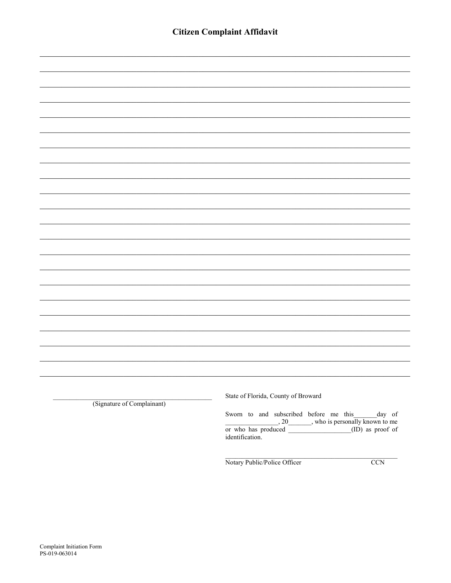| (Signature of Complainant) | State of Florida, County of Broward                                                                     |
|----------------------------|---------------------------------------------------------------------------------------------------------|
|                            | Sworn to and subscribed before me this $\frac{day}{20}$ of $\frac{20}{x}$ who is personally known to me |

 $\frac{1}{\text{or who has produced}}$ , 20 \[10], who is personally known to me identification.

Notary Public/Police Officer

 $CCN$ 

Ξ